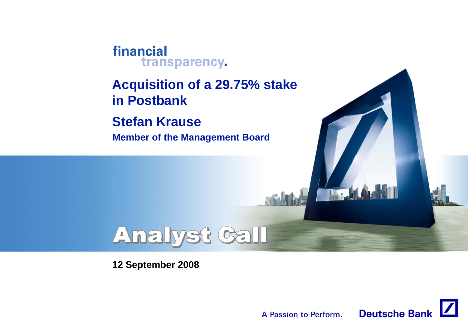#### financial transparency.

**Acquisition of <sup>a</sup> 29 75% stake 29.75% in Postbank**

**Stefan Krause Member of the Management Board**

# **Analyst Call**

**12 September 2008**



The .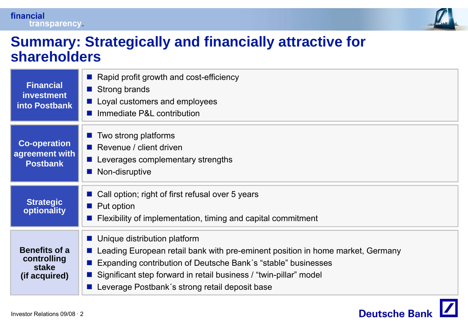



#### **Summary: Strategically and financially attractive for shareholders**

| <b>Financial</b><br><b>investment</b><br><b>into Postbank</b> | Rapid profit growth and cost-efficiency<br>Strong brands<br>■ Loyal customers and employees<br>Immediate P&L contribution                                                                                                                                                                                  |
|---------------------------------------------------------------|------------------------------------------------------------------------------------------------------------------------------------------------------------------------------------------------------------------------------------------------------------------------------------------------------------|
| <b>Co-operation</b><br>agreement with<br><b>Postbank</b>      | Two strong platforms<br>Revenue / client driven<br>a a s<br>Leverages complementary strengths<br>$\mathcal{O}(\mathbb{R}^d)$<br>Non-disruptive<br>$\mathbb{R}^2$                                                                                                                                           |
| <b>Strategic</b><br>optionality                               | ■ Call option; right of first refusal over 5 years<br>$\blacksquare$ Put option<br>Flexibility of implementation, timing and capital commitment                                                                                                                                                            |
| <b>Benefits of a</b><br>controlling<br>stake<br>(if acquired) | ■ Unique distribution platform<br>Leading European retail bank with pre-eminent position in home market, Germany<br>Expanding contribution of Deutsche Bank's "stable" businesses<br>Significant step forward in retail business / "twin-pillar" model<br>■ Leverage Postbank's strong retail deposit base |

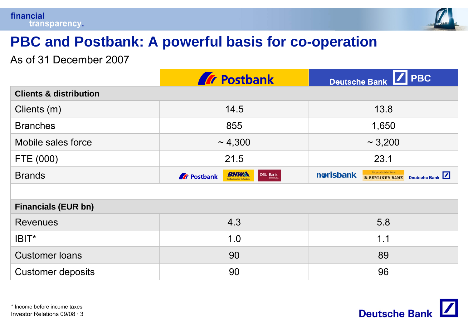

# **PBC and Postbank: A powerful basis for co basis -operation operation**

As of 31 December 2007

|                                   | <b>Tr</b> Postbank                                                                                                | $\sqrt{\phantom{a}}$ PBC<br>Deutsche Bank                                     |  |
|-----------------------------------|-------------------------------------------------------------------------------------------------------------------|-------------------------------------------------------------------------------|--|
| <b>Clients &amp; distribution</b> |                                                                                                                   |                                                                               |  |
| Clients (m)                       | 14.5                                                                                                              | 13.8                                                                          |  |
| <b>Branches</b>                   | 855                                                                                                               | 1,650                                                                         |  |
| Mobile sales force                | $\sim 4,300$                                                                                                      | $\sim$ 3,200                                                                  |  |
| FTE (000)                         | 21.5                                                                                                              | 23.1                                                                          |  |
| <b>Brands</b>                     | BHWA<br>$\begin{tabular}{ c c } \hline \textbf{DSL} & \textbf{Bank} \\ \hline \end{tabular}$<br><b>A</b> Postbank | Die persönliche Bank.<br>norisbank<br>Deutsche Bank<br><b>B BERLINER BANK</b> |  |
|                                   |                                                                                                                   |                                                                               |  |
| <b>Financials (EUR bn)</b>        |                                                                                                                   |                                                                               |  |
| <b>Revenues</b>                   | 4.3                                                                                                               | 5.8                                                                           |  |
| IBIT*                             | 1.0                                                                                                               | 1.1                                                                           |  |
| <b>Customer loans</b>             | 90                                                                                                                | 89                                                                            |  |
| <b>Customer deposits</b>          | 90                                                                                                                | 96                                                                            |  |

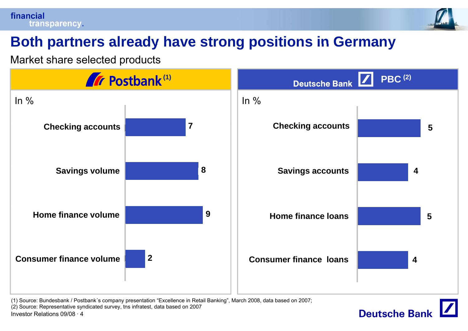#### financial transparency.



**Deutsche Bank** 

# **Both partners already have strong positions in Germany**

Market share selected products



(1) Source: Bundesbank / Postbank´s company presentation "Excellence in Retail Banking", March 2008, data based on 2007;

(2) Source: Representative syndicated survey, tns infratest, data based on 2007

•Investor Relations 09/08 · 4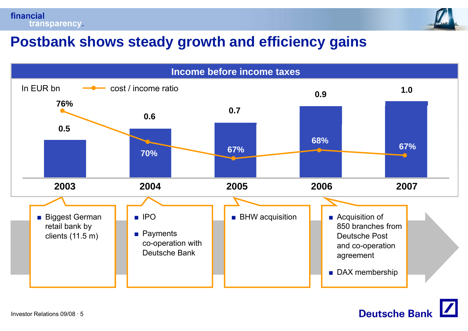



#### **Postbank shows steady growth and efficiency gains**



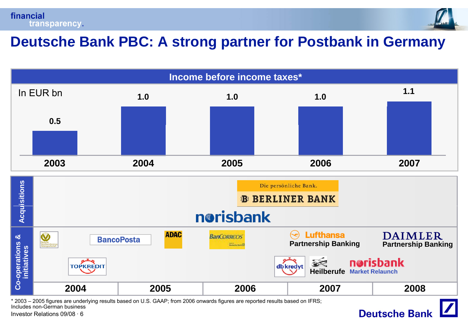



#### **Deutsche Bank PBC: A strong partner for Postbank in Germany**

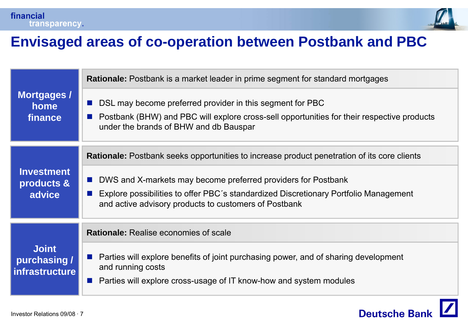



#### **Envisaged areas of co co-operation between Postbank and PBC operation**

| Mortgages /<br>home<br>finance                        | <b>Rationale:</b> Postbank is a market leader in prime segment for standard mortgages                                                                                                             |
|-------------------------------------------------------|---------------------------------------------------------------------------------------------------------------------------------------------------------------------------------------------------|
|                                                       | DSL may become preferred provider in this segment for PBC<br>Postbank (BHW) and PBC will explore cross-sell opportunities for their respective products<br>under the brands of BHW and db Bauspar |
|                                                       | <b>Rationale:</b> Postbank seeks opportunities to increase product penetration of its core clients                                                                                                |
| <b>Investment</b><br>products &                       | DWS and X-markets may become preferred providers for Postbank<br>a a                                                                                                                              |
| advice                                                | Explore possibilities to offer PBC's standardized Discretionary Portfolio Management<br>and active advisory products to customers of Postbank                                                     |
|                                                       | <b>Rationale:</b> Realise economies of scale                                                                                                                                                      |
| <b>Joint</b><br>purchasing /<br><i>infrastructure</i> | Parties will explore benefits of joint purchasing power, and of sharing development<br>and running costs<br>Parties will explore cross-usage of IT know-how and system modules                    |

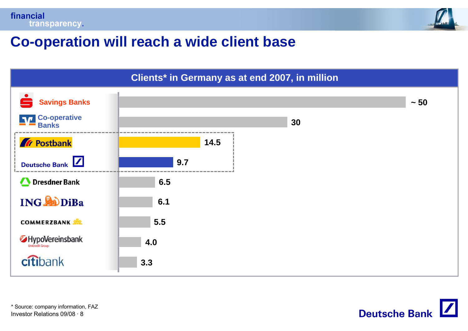



## **Co-operation will reach <sup>a</sup> wide client base operation reach**



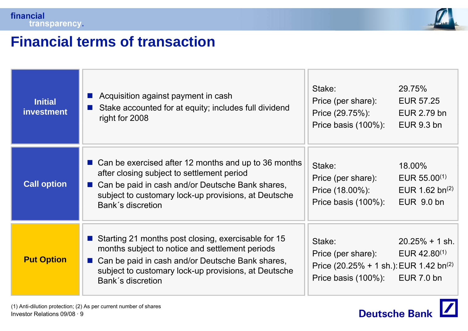



 $\boldsymbol{Z}$ 

**Deutsche Bank** 

## **Financial terms of transaction**

| <b>Initial</b><br>investment | Acquisition against payment in cash<br>Stake accounted for at equity; includes full dividend<br>right for 2008                                                                                                                            | Stake:<br>29.75%<br>Price (per share):<br><b>EUR 57.25</b><br>Price (29.75%):<br>EUR 2.79 bn<br>Price basis (100%):<br><b>EUR 9.3 bn</b>                                                           |  |
|------------------------------|-------------------------------------------------------------------------------------------------------------------------------------------------------------------------------------------------------------------------------------------|----------------------------------------------------------------------------------------------------------------------------------------------------------------------------------------------------|--|
| <b>Call option</b>           | ■ Can be exercised after 12 months and up to 36 months<br>after closing subject to settlement period<br>Can be paid in cash and/or Deutsche Bank shares,<br>subject to customary lock-up provisions, at Deutsche<br>Bank's discretion     | Stake:<br>18.00%<br>Price (per share):<br>EUR $55.00^{(1)}$<br>Price (18.00%):<br>EUR 1.62 bn $(2)$<br>EUR 9.0 bn<br>Price basis $(100\%)$ :                                                       |  |
| <b>Put Option</b>            | Starting 21 months post closing, exercisable for 15<br>months subject to notice and settlement periods<br>■ Can be paid in cash and/or Deutsche Bank shares,<br>subject to customary lock-up provisions, at Deutsche<br>Bank's discretion | Stake:<br>$20.25\% + 1 \text{ sh.}$<br>Price (per share):<br>EUR $42.80^{(1)}$<br>Price $(20.25\% + 1 \, \text{sh.})$ : EUR 1.42 bn <sup>(2)</sup><br><b>EUR 7.0 bn</b><br>Price basis $(100\%)$ : |  |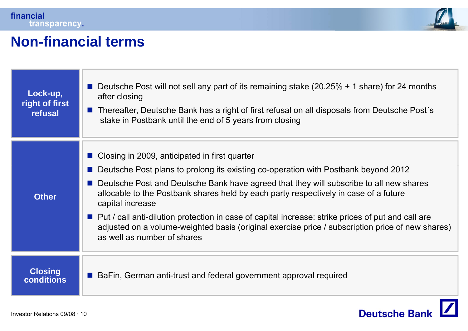

#### **Non-financial terms financial**

| Lock-up,<br>right of first<br>refusal | <b>Deutsche Post will not sell any part of its remaining stake (20.25% + 1 share) for 24 months</b><br>after closing<br>Thereafter, Deutsche Bank has a right of first refusal on all disposals from Deutsche Post's<br><b>COL</b><br>stake in Postbank until the end of 5 years from closing                                                                                                                                                                                                                                                                                            |
|---------------------------------------|------------------------------------------------------------------------------------------------------------------------------------------------------------------------------------------------------------------------------------------------------------------------------------------------------------------------------------------------------------------------------------------------------------------------------------------------------------------------------------------------------------------------------------------------------------------------------------------|
| <b>Other</b>                          | ■ Closing in 2009, anticipated in first quarter<br>Deutsche Post plans to prolong its existing co-operation with Postbank beyond 2012<br>■ Deutsche Post and Deutsche Bank have agreed that they will subscribe to all new shares<br>allocable to the Postbank shares held by each party respectively in case of a future<br>capital increase<br>■ Put / call anti-dilution protection in case of capital increase: strike prices of put and call are<br>adjusted on a volume-weighted basis (original exercise price / subscription price of new shares)<br>as well as number of shares |
| <b>Closing</b><br><b>conditions</b>   | BaFin, German anti-trust and federal government approval required                                                                                                                                                                                                                                                                                                                                                                                                                                                                                                                        |

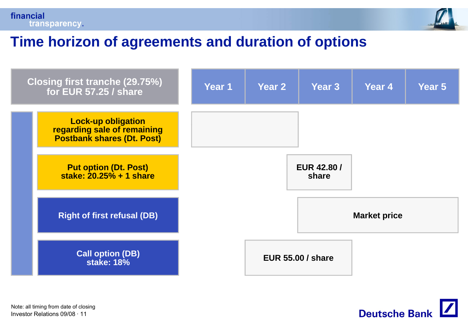



#### **Time horizon of agreements and duration of options**





•Investor Relations 09/08 · 11Note: all timing from date of closing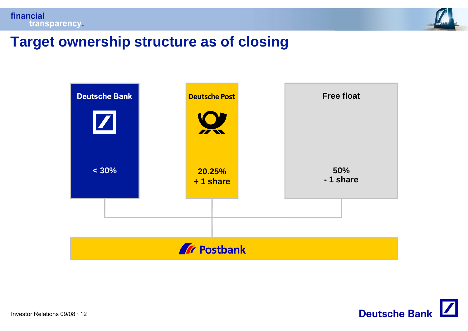



#### **Target ownership structure as of closing**



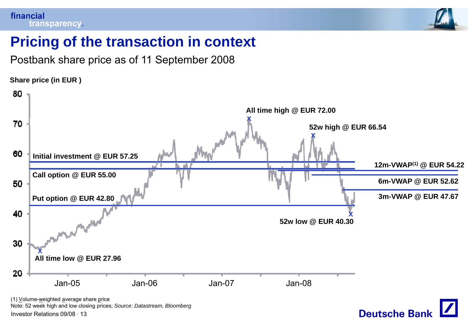

## **Pricing of the transaction in context**

Postbank share price as of 11 September 2008

**Share price (in EUR )**



•Investor Relations 09/08 · 13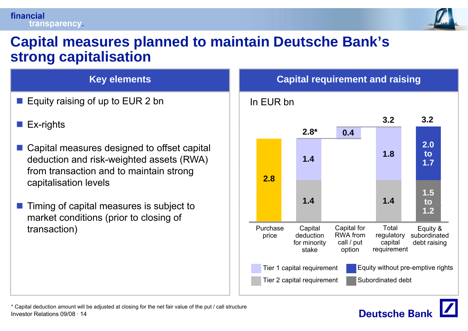#### financial transparency.



#### **Capital measures planned to maintain Deutsche Bank Bank s' strong capitalisation**

#### **Ke y elements Ca**

- Equity raising of up to EUR 2 bn
- F  $\blacksquare$  Ex-rights
- Capital measures designed to offset capital deduction and risk-weighted assets (RWA) from transaction and to maintain strong capitalisation levels
- F Timing of capital measures is subject to market conditions (prior to closing of transaction) entransaction (notation) and the price capital deduction of the price  $\rho$  and  $\rho$  price deduction

#### **y** elements and raising



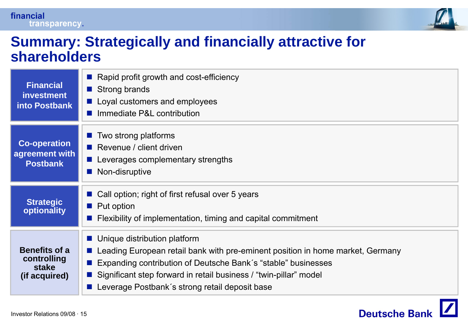



#### **Summary: Strategically and financially attractive for shareholders**

| <b>Financial</b><br><b>investment</b><br><b>into Postbank</b> | Rapid profit growth and cost-efficiency<br>Strong brands<br>■ Loyal customers and employees<br>Immediate P&L contribution                                                                                                                                                                                  |
|---------------------------------------------------------------|------------------------------------------------------------------------------------------------------------------------------------------------------------------------------------------------------------------------------------------------------------------------------------------------------------|
| <b>Co-operation</b><br>agreement with<br><b>Postbank</b>      | Two strong platforms<br>Revenue / client driven<br>a a s<br>Leverages complementary strengths<br>$\mathcal{O}(\mathbb{R}^d)$<br>Non-disruptive<br>$\mathbb{R}^2$                                                                                                                                           |
| <b>Strategic</b><br>optionality                               | ■ Call option; right of first refusal over 5 years<br>$\blacksquare$ Put option<br>Flexibility of implementation, timing and capital commitment                                                                                                                                                            |
| <b>Benefits of a</b><br>controlling<br>stake<br>(if acquired) | ■ Unique distribution platform<br>Leading European retail bank with pre-eminent position in home market, Germany<br>Expanding contribution of Deutsche Bank's "stable" businesses<br>Significant step forward in retail business / "twin-pillar" model<br>■ Leverage Postbank's strong retail deposit base |